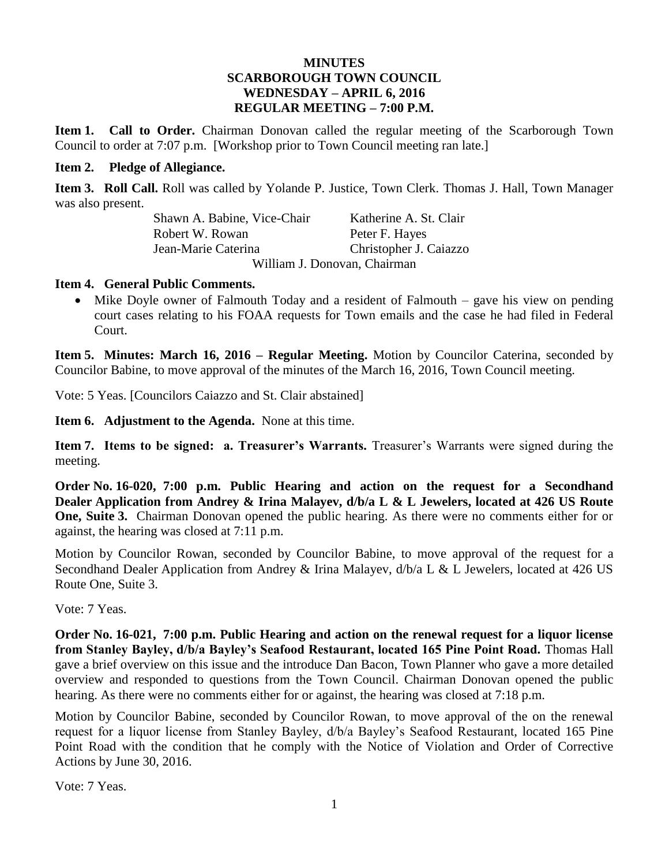#### **MINUTES SCARBOROUGH TOWN COUNCIL WEDNESDAY – APRIL 6, 2016 REGULAR MEETING – 7:00 P.M.**

**Item 1. Call to Order.** Chairman Donovan called the regular meeting of the Scarborough Town Council to order at 7:07 p.m. [Workshop prior to Town Council meeting ran late.]

#### **Item 2. Pledge of Allegiance.**

**Item 3. Roll Call.** Roll was called by Yolande P. Justice, Town Clerk. Thomas J. Hall, Town Manager was also present.

> Shawn A. Babine, Vice-Chair Katherine A. St. Clair Robert W. Rowan Peter F. Hayes Jean-Marie Caterina Christopher J. Caiazzo William J. Donovan, Chairman

#### **Item 4. General Public Comments.**

 Mike Doyle owner of Falmouth Today and a resident of Falmouth – gave his view on pending court cases relating to his FOAA requests for Town emails and the case he had filed in Federal Court.

**Item 5. Minutes: March 16, 2016 – Regular Meeting.** Motion by Councilor Caterina, seconded by Councilor Babine, to move approval of the minutes of the March 16, 2016, Town Council meeting.

Vote: 5 Yeas. [Councilors Caiazzo and St. Clair abstained]

**Item 6. Adjustment to the Agenda.** None at this time.

**Item 7. Items to be signed: a. Treasurer's Warrants.** Treasurer's Warrants were signed during the meeting.

**Order No. 16-020, 7:00 p.m. Public Hearing and action on the request for a Secondhand Dealer Application from Andrey & Irina Malayev, d/b/a L & L Jewelers, located at 426 US Route One, Suite 3.** Chairman Donovan opened the public hearing. As there were no comments either for or against, the hearing was closed at 7:11 p.m.

Motion by Councilor Rowan, seconded by Councilor Babine, to move approval of the request for a Secondhand Dealer Application from Andrey & Irina Malayev,  $d/b/a \, L \& L$  Jewelers, located at 426 US Route One, Suite 3.

Vote: 7 Yeas.

**Order No. 16-021, 7:00 p.m. Public Hearing and action on the renewal request for a liquor license from Stanley Bayley, d/b/a Bayley's Seafood Restaurant, located 165 Pine Point Road.** Thomas Hall gave a brief overview on this issue and the introduce Dan Bacon, Town Planner who gave a more detailed overview and responded to questions from the Town Council. Chairman Donovan opened the public hearing. As there were no comments either for or against, the hearing was closed at 7:18 p.m.

Motion by Councilor Babine, seconded by Councilor Rowan, to move approval of the on the renewal request for a liquor license from Stanley Bayley, d/b/a Bayley's Seafood Restaurant, located 165 Pine Point Road with the condition that he comply with the Notice of Violation and Order of Corrective Actions by June 30, 2016.

Vote: 7 Yeas.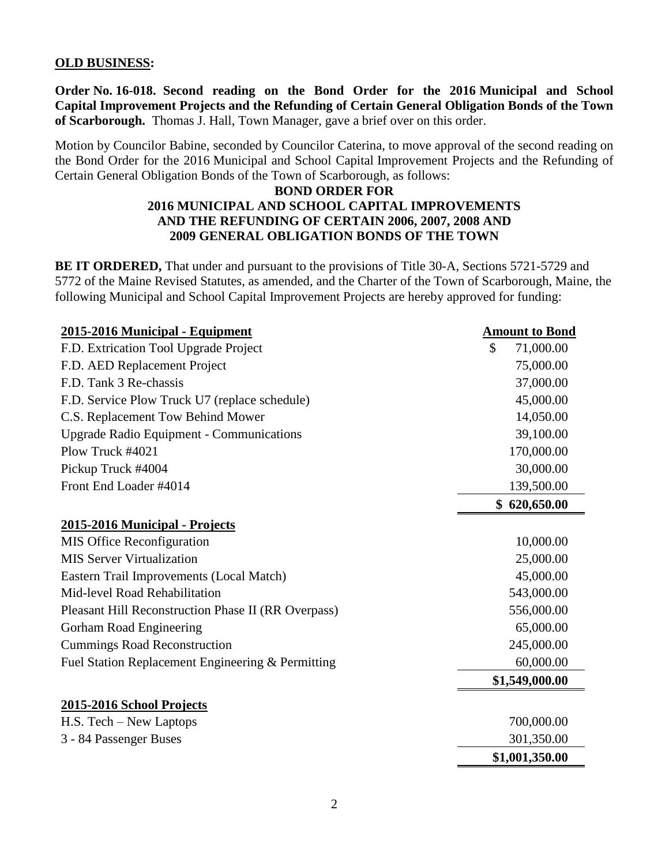#### **OLD BUSINESS:**

**Order No. 16-018. Second reading on the Bond Order for the 2016 Municipal and School Capital Improvement Projects and the Refunding of Certain General Obligation Bonds of the Town of Scarborough.** Thomas J. Hall, Town Manager, gave a brief over on this order.

Motion by Councilor Babine, seconded by Councilor Caterina, to move approval of the second reading on the Bond Order for the 2016 Municipal and School Capital Improvement Projects and the Refunding of Certain General Obligation Bonds of the Town of Scarborough, as follows:

#### **BOND ORDER FOR 2016 MUNICIPAL AND SCHOOL CAPITAL IMPROVEMENTS AND THE REFUNDING OF CERTAIN 2006, 2007, 2008 AND 2009 GENERAL OBLIGATION BONDS OF THE TOWN**

**BE IT ORDERED,** That under and pursuant to the provisions of Title 30-A, Sections 5721-5729 and 5772 of the Maine Revised Statutes, as amended, and the Charter of the Town of Scarborough, Maine, the following Municipal and School Capital Improvement Projects are hereby approved for funding:

| 2015-2016 Municipal - Equipment                     | <b>Amount to Bond</b> |
|-----------------------------------------------------|-----------------------|
| F.D. Extrication Tool Upgrade Project               | \$<br>71,000.00       |
| F.D. AED Replacement Project                        | 75,000.00             |
| F.D. Tank 3 Re-chassis                              | 37,000.00             |
| F.D. Service Plow Truck U7 (replace schedule)       | 45,000.00             |
| C.S. Replacement Tow Behind Mower                   | 14,050.00             |
| <b>Upgrade Radio Equipment - Communications</b>     | 39,100.00             |
| Plow Truck #4021                                    | 170,000.00            |
| Pickup Truck #4004                                  | 30,000.00             |
| Front End Loader #4014                              | 139,500.00            |
|                                                     | \$620,650.00          |
| 2015-2016 Municipal - Projects                      |                       |
| <b>MIS Office Reconfiguration</b>                   | 10,000.00             |
| <b>MIS Server Virtualization</b>                    | 25,000.00             |
| Eastern Trail Improvements (Local Match)            | 45,000.00             |
| Mid-level Road Rehabilitation                       | 543,000.00            |
| Pleasant Hill Reconstruction Phase II (RR Overpass) | 556,000.00            |
| Gorham Road Engineering                             | 65,000.00             |
| <b>Cummings Road Reconstruction</b>                 | 245,000.00            |
| Fuel Station Replacement Engineering & Permitting   | 60,000.00             |
|                                                     | \$1,549,000.00        |
| 2015-2016 School Projects                           |                       |
| H.S. Tech - New Laptops                             | 700,000.00            |
| 3 - 84 Passenger Buses                              | 301,350.00            |
|                                                     | \$1,001,350.00        |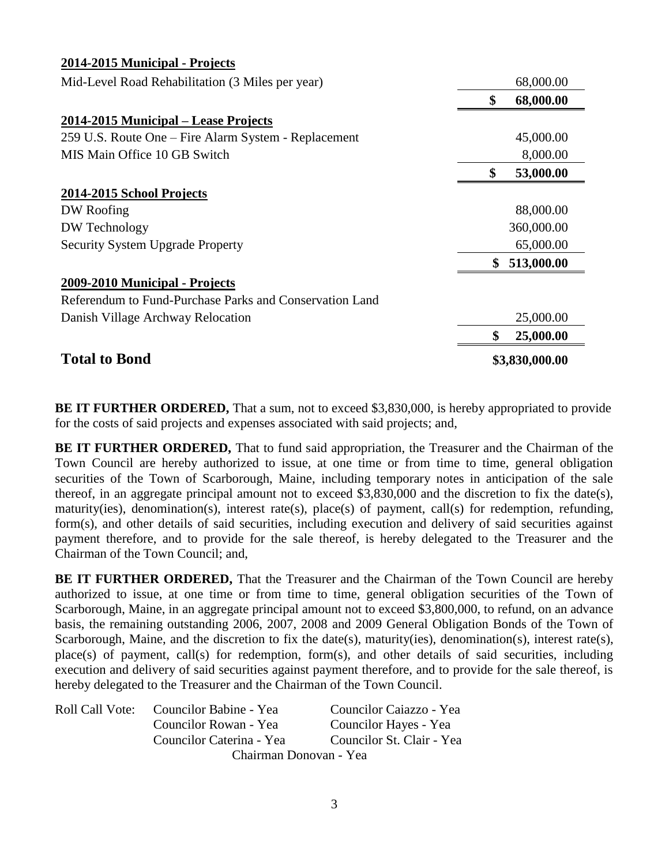| 2014-2015 Municipal - Projects                          |                  |
|---------------------------------------------------------|------------------|
| Mid-Level Road Rehabilitation (3 Miles per year)        | 68,000.00        |
|                                                         | \$<br>68,000.00  |
| 2014-2015 Municipal – Lease Projects                    |                  |
| 259 U.S. Route One – Fire Alarm System - Replacement    | 45,000.00        |
| MIS Main Office 10 GB Switch                            | 8,000.00         |
|                                                         | \$<br>53,000.00  |
| 2014-2015 School Projects                               |                  |
| DW Roofing                                              | 88,000.00        |
| DW Technology                                           | 360,000.00       |
| <b>Security System Upgrade Property</b>                 | 65,000.00        |
|                                                         | \$<br>513,000.00 |
| 2009-2010 Municipal - Projects                          |                  |
| Referendum to Fund-Purchase Parks and Conservation Land |                  |
| Danish Village Archway Relocation                       | 25,000.00        |
|                                                         | \$<br>25,000.00  |
| <b>Total to Bond</b>                                    | \$3,830,000.00   |

**BE IT FURTHER ORDERED,** That a sum, not to exceed \$3,830,000, is hereby appropriated to provide for the costs of said projects and expenses associated with said projects; and,

**BE IT FURTHER ORDERED,** That to fund said appropriation, the Treasurer and the Chairman of the Town Council are hereby authorized to issue, at one time or from time to time, general obligation securities of the Town of Scarborough, Maine, including temporary notes in anticipation of the sale thereof, in an aggregate principal amount not to exceed \$3,830,000 and the discretion to fix the date(s), maturity(ies), denomination(s), interest rate(s), place(s) of payment, call(s) for redemption, refunding, form(s), and other details of said securities, including execution and delivery of said securities against payment therefore, and to provide for the sale thereof, is hereby delegated to the Treasurer and the Chairman of the Town Council; and,

**BE IT FURTHER ORDERED,** That the Treasurer and the Chairman of the Town Council are hereby authorized to issue, at one time or from time to time, general obligation securities of the Town of Scarborough, Maine, in an aggregate principal amount not to exceed \$3,800,000, to refund, on an advance basis, the remaining outstanding 2006, 2007, 2008 and 2009 General Obligation Bonds of the Town of Scarborough, Maine, and the discretion to fix the date(s), maturity(ies), denomination(s), interest rate(s), place(s) of payment, call(s) for redemption, form(s), and other details of said securities, including execution and delivery of said securities against payment therefore, and to provide for the sale thereof, is hereby delegated to the Treasurer and the Chairman of the Town Council.

| <b>Roll Call Vote:</b> | Councilor Babine - Yea   | Councilor Caiazzo - Yea   |
|------------------------|--------------------------|---------------------------|
|                        | Councilor Rowan - Yea    | Councilor Hayes - Yea     |
|                        | Councilor Caterina - Yea | Councilor St. Clair - Yea |
|                        | Chairman Donovan - Yea   |                           |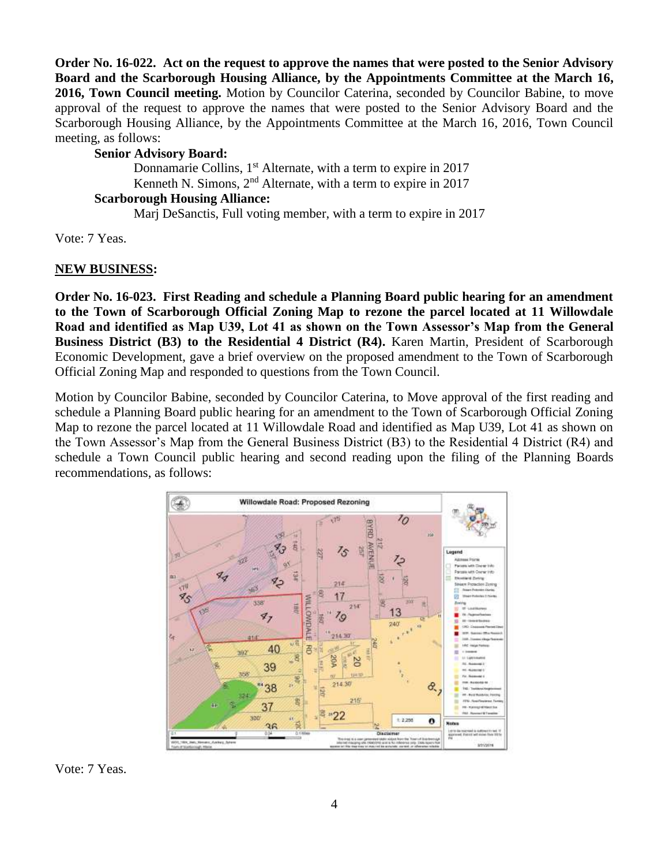**Order No. 16-022. Act on the request to approve the names that were posted to the Senior Advisory Board and the Scarborough Housing Alliance, by the Appointments Committee at the March 16, 2016, Town Council meeting.** Motion by Councilor Caterina, seconded by Councilor Babine, to move approval of the request to approve the names that were posted to the Senior Advisory Board and the Scarborough Housing Alliance, by the Appointments Committee at the March 16, 2016, Town Council meeting, as follows:

#### **Senior Advisory Board:**

Donnamarie Collins, 1<sup>st</sup> Alternate, with a term to expire in 2017 Kenneth N. Simons,  $2<sup>nd</sup>$  Alternate, with a term to expire in 2017

## **Scarborough Housing Alliance:**

Marj DeSanctis, Full voting member, with a term to expire in 2017

Vote: 7 Yeas.

#### **NEW BUSINESS:**

**Order No. 16-023. First Reading and schedule a Planning Board public hearing for an amendment to the Town of Scarborough Official Zoning Map to rezone the parcel located at 11 Willowdale Road and identified as Map U39, Lot 41 as shown on the Town Assessor's Map from the General Business District (B3) to the Residential 4 District (R4).** Karen Martin, President of Scarborough Economic Development, gave a brief overview on the proposed amendment to the Town of Scarborough Official Zoning Map and responded to questions from the Town Council.

Motion by Councilor Babine, seconded by Councilor Caterina, to Move approval of the first reading and schedule a Planning Board public hearing for an amendment to the Town of Scarborough Official Zoning Map to rezone the parcel located at 11 Willowdale Road and identified as Map U39, Lot 41 as shown on the Town Assessor's Map from the General Business District (B3) to the Residential 4 District (R4) and schedule a Town Council public hearing and second reading upon the filing of the Planning Boards recommendations, as follows:



Vote: 7 Yeas.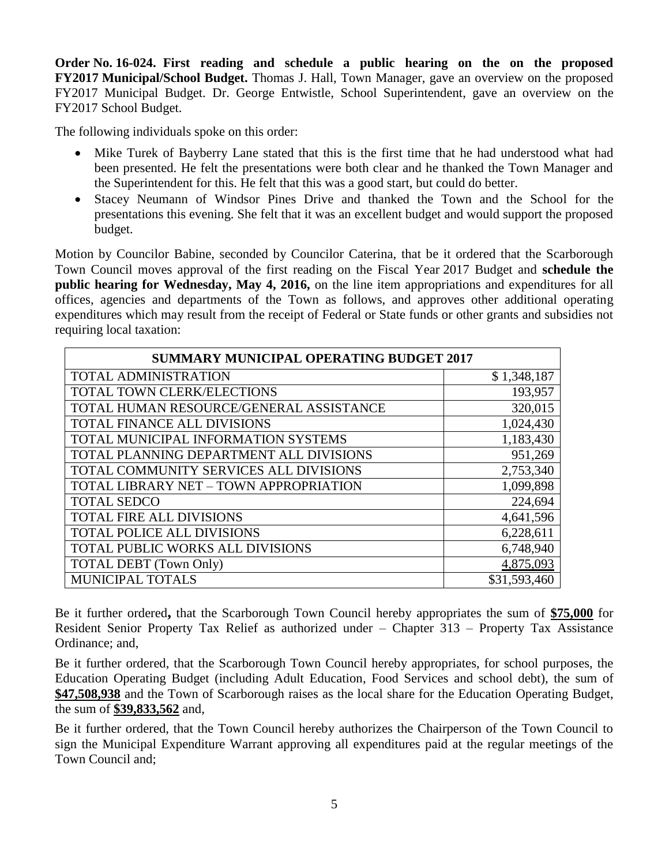**Order No. 16-024. First reading and schedule a public hearing on the on the proposed FY2017 Municipal/School Budget.** Thomas J. Hall, Town Manager, gave an overview on the proposed FY2017 Municipal Budget. Dr. George Entwistle, School Superintendent, gave an overview on the FY2017 School Budget.

The following individuals spoke on this order:

- Mike Turek of Bayberry Lane stated that this is the first time that he had understood what had been presented. He felt the presentations were both clear and he thanked the Town Manager and the Superintendent for this. He felt that this was a good start, but could do better.
- Stacey Neumann of Windsor Pines Drive and thanked the Town and the School for the presentations this evening. She felt that it was an excellent budget and would support the proposed budget.

Motion by Councilor Babine, seconded by Councilor Caterina, that be it ordered that the Scarborough Town Council moves approval of the first reading on the Fiscal Year 2017 Budget and **schedule the public hearing for Wednesday, May 4, 2016,** on the line item appropriations and expenditures for all offices, agencies and departments of the Town as follows, and approves other additional operating expenditures which may result from the receipt of Federal or State funds or other grants and subsidies not requiring local taxation:

| <b>SUMMARY MUNICIPAL OPERATING BUDGET 2017</b> |              |  |
|------------------------------------------------|--------------|--|
| <b>TOTAL ADMINISTRATION</b>                    | \$1,348,187  |  |
| <b>TOTAL TOWN CLERK/ELECTIONS</b>              | 193,957      |  |
| TOTAL HUMAN RESOURCE/GENERAL ASSISTANCE        | 320,015      |  |
| <b>TOTAL FINANCE ALL DIVISIONS</b>             | 1,024,430    |  |
| TOTAL MUNICIPAL INFORMATION SYSTEMS            | 1,183,430    |  |
| TOTAL PLANNING DEPARTMENT ALL DIVISIONS        | 951,269      |  |
| TOTAL COMMUNITY SERVICES ALL DIVISIONS         | 2,753,340    |  |
| TOTAL LIBRARY NET - TOWN APPROPRIATION         | 1,099,898    |  |
| <b>TOTAL SEDCO</b>                             | 224,694      |  |
| <b>TOTAL FIRE ALL DIVISIONS</b>                | 4,641,596    |  |
| <b>TOTAL POLICE ALL DIVISIONS</b>              | 6,228,611    |  |
| TOTAL PUBLIC WORKS ALL DIVISIONS               | 6,748,940    |  |
| <b>TOTAL DEBT</b> (Town Only)                  | 4,875,093    |  |
| <b>MUNICIPAL TOTALS</b>                        | \$31,593,460 |  |

Be it further ordered**,** that the Scarborough Town Council hereby appropriates the sum of **\$75,000** for Resident Senior Property Tax Relief as authorized under – Chapter 313 – Property Tax Assistance Ordinance; and,

Be it further ordered, that the Scarborough Town Council hereby appropriates, for school purposes, the Education Operating Budget (including Adult Education, Food Services and school debt), the sum of **\$47,508,938** and the Town of Scarborough raises as the local share for the Education Operating Budget, the sum of **\$39,833,562** and,

Be it further ordered, that the Town Council hereby authorizes the Chairperson of the Town Council to sign the Municipal Expenditure Warrant approving all expenditures paid at the regular meetings of the Town Council and;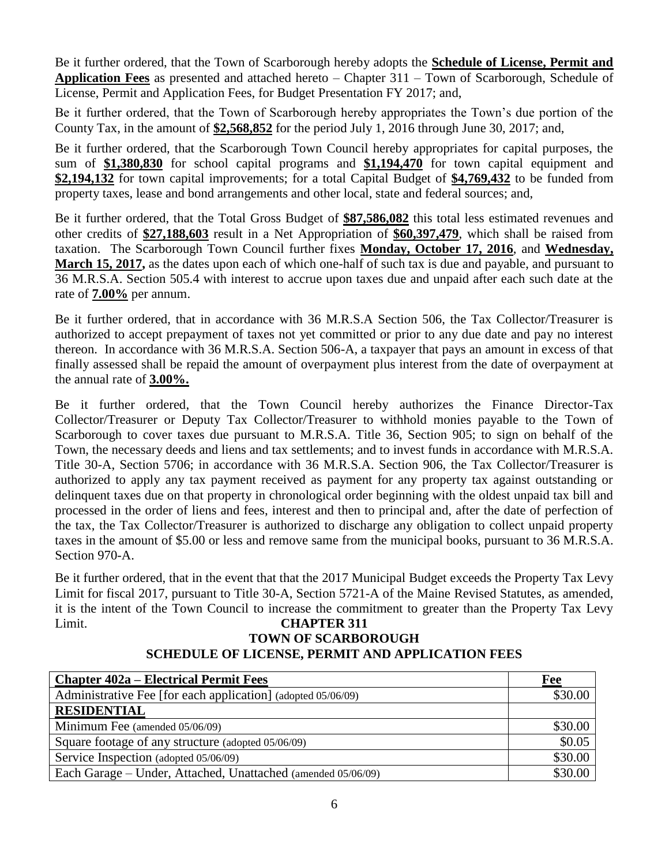Be it further ordered, that the Town of Scarborough hereby adopts the **Schedule of License, Permit and Application Fees** as presented and attached hereto – Chapter 311 – Town of Scarborough, Schedule of License, Permit and Application Fees, for Budget Presentation FY 2017; and,

Be it further ordered, that the Town of Scarborough hereby appropriates the Town's due portion of the County Tax, in the amount of **\$2,568,852** for the period July 1, 2016 through June 30, 2017; and,

Be it further ordered, that the Scarborough Town Council hereby appropriates for capital purposes, the sum of **\$1,380,830** for school capital programs and **\$1,194,470** for town capital equipment and **\$2,194,132** for town capital improvements; for a total Capital Budget of **\$4,769,432** to be funded from property taxes, lease and bond arrangements and other local, state and federal sources; and,

Be it further ordered, that the Total Gross Budget of **\$87,586,082** this total less estimated revenues and other credits of **\$27,188,603** result in a Net Appropriation of **\$60,397,479**, which shall be raised from taxation. The Scarborough Town Council further fixes **Monday, October 17, 2016**, and **Wednesday, March 15, 2017,** as the dates upon each of which one-half of such tax is due and payable, and pursuant to 36 M.R.S.A. Section 505.4 with interest to accrue upon taxes due and unpaid after each such date at the rate of **7.00%** per annum.

Be it further ordered, that in accordance with 36 M.R.S.A Section 506, the Tax Collector/Treasurer is authorized to accept prepayment of taxes not yet committed or prior to any due date and pay no interest thereon. In accordance with 36 M.R.S.A. Section 506-A, a taxpayer that pays an amount in excess of that finally assessed shall be repaid the amount of overpayment plus interest from the date of overpayment at the annual rate of **3.00%.**

Be it further ordered, that the Town Council hereby authorizes the Finance Director-Tax Collector/Treasurer or Deputy Tax Collector/Treasurer to withhold monies payable to the Town of Scarborough to cover taxes due pursuant to M.R.S.A. Title 36, Section 905; to sign on behalf of the Town, the necessary deeds and liens and tax settlements; and to invest funds in accordance with M.R.S.A. Title 30-A, Section 5706; in accordance with 36 M.R.S.A. Section 906, the Tax Collector/Treasurer is authorized to apply any tax payment received as payment for any property tax against outstanding or delinquent taxes due on that property in chronological order beginning with the oldest unpaid tax bill and processed in the order of liens and fees, interest and then to principal and, after the date of perfection of the tax, the Tax Collector/Treasurer is authorized to discharge any obligation to collect unpaid property taxes in the amount of \$5.00 or less and remove same from the municipal books, pursuant to 36 M.R.S.A. Section 970-A.

Be it further ordered, that in the event that that the 2017 Municipal Budget exceeds the Property Tax Levy Limit for fiscal 2017, pursuant to Title 30-A, Section 5721-A of the Maine Revised Statutes, as amended, it is the intent of the Town Council to increase the commitment to greater than the Property Tax Levy Limit. **CHAPTER 311** 

# **TOWN OF SCARBOROUGH SCHEDULE OF LICENSE, PERMIT AND APPLICATION FEES**

| <b>Chapter 402a – Electrical Permit Fees</b>                 | Fee     |
|--------------------------------------------------------------|---------|
| Administrative Fee [for each application] (adopted 05/06/09) | \$30.00 |
| <b>RESIDENTIAL</b>                                           |         |
| Minimum Fee (amended 05/06/09)                               | \$30.00 |
| Square footage of any structure (adopted 05/06/09)           | \$0.05  |
| Service Inspection (adopted 05/06/09)                        | \$30.00 |
| Each Garage – Under, Attached, Unattached (amended 05/06/09) | \$30.00 |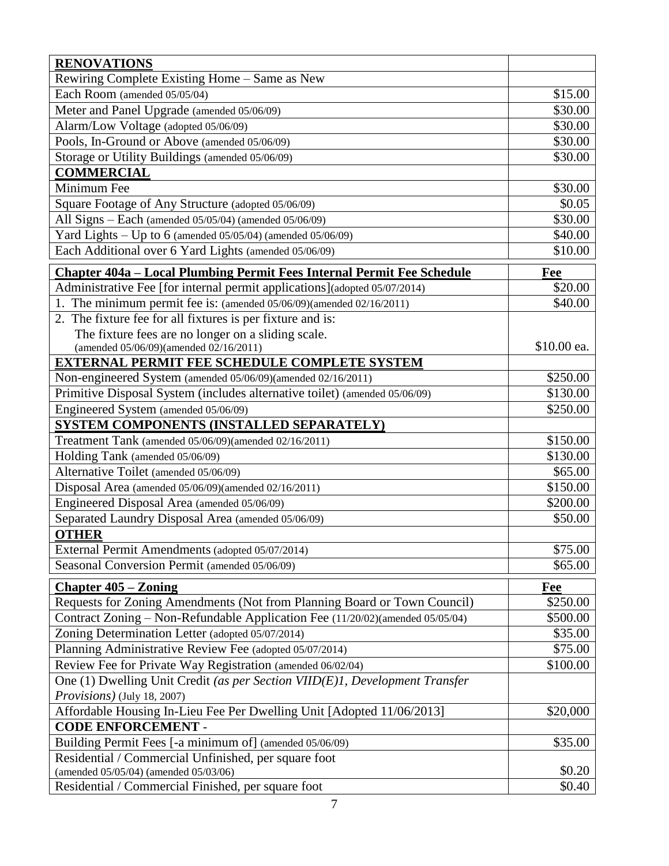| <b>RENOVATIONS</b>                                                                                      |                      |
|---------------------------------------------------------------------------------------------------------|----------------------|
| Rewiring Complete Existing Home – Same as New                                                           |                      |
| Each Room (amended 05/05/04)                                                                            | \$15.00              |
| Meter and Panel Upgrade (amended 05/06/09)                                                              | \$30.00              |
| Alarm/Low Voltage (adopted 05/06/09)                                                                    | \$30.00              |
| Pools, In-Ground or Above (amended 05/06/09)                                                            | \$30.00              |
| Storage or Utility Buildings (amended 05/06/09)                                                         | \$30.00              |
| <b>COMMERCIAL</b>                                                                                       |                      |
| Minimum Fee                                                                                             | \$30.00              |
| Square Footage of Any Structure (adopted 05/06/09)                                                      | \$0.05               |
| All Signs - Each (amended 05/05/04) (amended 05/06/09)                                                  | \$30.00              |
| Yard Lights - Up to 6 (amended $05/05/04$ ) (amended $05/06/09$ )                                       | \$40.00              |
| Each Additional over 6 Yard Lights (amended 05/06/09)                                                   | \$10.00              |
| Chapter 404a - Local Plumbing Permit Fees Internal Permit Fee Schedule                                  | Fee                  |
| Administrative Fee [for internal permit applications](adopted 05/07/2014)                               | \$20.00              |
| 1. The minimum permit fee is: (amended 05/06/09)(amended 02/16/2011)                                    | \$40.00              |
| 2. The fixture fee for all fixtures is per fixture and is:                                              |                      |
| The fixture fees are no longer on a sliding scale.                                                      |                      |
| (amended 05/06/09)(amended 02/16/2011)                                                                  | \$10.00 ea.          |
| <b>EXTERNAL PERMIT FEE SCHEDULE COMPLETE SYSTEM</b>                                                     |                      |
| Non-engineered System (amended 05/06/09)(amended 02/16/2011)                                            | \$250.00             |
| Primitive Disposal System (includes alternative toilet) (amended 05/06/09)                              | \$130.00             |
| Engineered System (amended 05/06/09)                                                                    | \$250.00             |
| SYSTEM COMPONENTS (INSTALLED SEPARATELY)                                                                |                      |
| Treatment Tank (amended 05/06/09)(amended 02/16/2011)<br>Holding Tank (amended 05/06/09)                | \$150.00<br>\$130.00 |
| Alternative Toilet (amended 05/06/09)                                                                   | \$65.00              |
| Disposal Area (amended 05/06/09)(amended 02/16/2011)                                                    | \$150.00             |
| Engineered Disposal Area (amended 05/06/09)                                                             | \$200.00             |
| Separated Laundry Disposal Area (amended 05/06/09)                                                      | \$50.00              |
| <b>OTHER</b>                                                                                            |                      |
| External Permit Amendments (adopted 05/07/2014)                                                         | \$75.00              |
| Seasonal Conversion Permit (amended 05/06/09)                                                           | \$65.00              |
|                                                                                                         |                      |
| <b>Chapter 405 – Zoning</b><br>Requests for Zoning Amendments (Not from Planning Board or Town Council) | Fee<br>\$250.00      |
| Contract Zoning – Non-Refundable Application Fee (11/20/02)(amended 05/05/04)                           | \$500.00             |
| Zoning Determination Letter (adopted 05/07/2014)                                                        | \$35.00              |
| Planning Administrative Review Fee (adopted 05/07/2014)                                                 | \$75.00              |
| Review Fee for Private Way Registration (amended 06/02/04)                                              | \$100.00             |
| One (1) Dwelling Unit Credit (as per Section VIID(E)1, Development Transfer                             |                      |
| <i>Provisions</i> ) (July 18, 2007)                                                                     |                      |
| Affordable Housing In-Lieu Fee Per Dwelling Unit [Adopted 11/06/2013]                                   | \$20,000             |
| <b>CODE ENFORCEMENT -</b>                                                                               |                      |
| Building Permit Fees [-a minimum of] (amended 05/06/09)                                                 | \$35.00              |
| Residential / Commercial Unfinished, per square foot                                                    |                      |
| (amended 05/05/04) (amended 05/03/06)                                                                   | \$0.20               |
| Residential / Commercial Finished, per square foot                                                      | \$0.40               |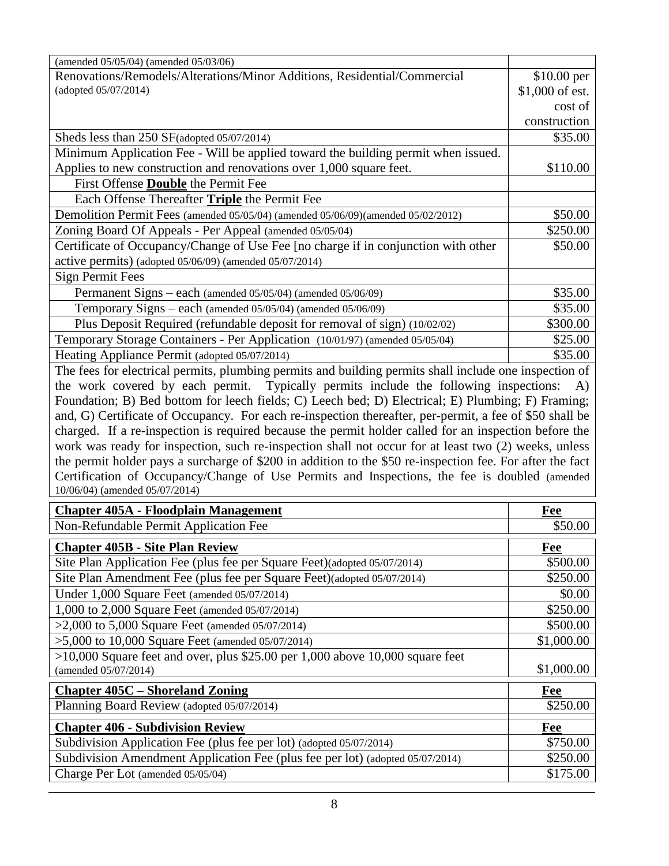| (amended 05/05/04) (amended 05/03/06)                                                                              |                      |
|--------------------------------------------------------------------------------------------------------------------|----------------------|
| Renovations/Remodels/Alterations/Minor Additions, Residential/Commercial                                           | \$10.00 per          |
| (adopted 05/07/2014)                                                                                               | \$1,000 of est.      |
|                                                                                                                    | cost of              |
|                                                                                                                    | construction         |
| Sheds less than 250 SF(adopted 05/07/2014)                                                                         | \$35.00              |
| Minimum Application Fee - Will be applied toward the building permit when issued.                                  |                      |
| Applies to new construction and renovations over 1,000 square feet.                                                | \$110.00             |
| First Offense <b>Double</b> the Permit Fee                                                                         |                      |
| Each Offense Thereafter Triple the Permit Fee                                                                      |                      |
| Demolition Permit Fees (amended 05/05/04) (amended 05/06/09)(amended 05/02/2012)                                   | \$50.00              |
| Zoning Board Of Appeals - Per Appeal (amended 05/05/04)                                                            | \$250.00             |
| Certificate of Occupancy/Change of Use Fee [no charge if in conjunction with other                                 | \$50.00              |
| active permits) (adopted 05/06/09) (amended 05/07/2014)                                                            |                      |
| <b>Sign Permit Fees</b>                                                                                            |                      |
| Permanent Signs - each (amended 05/05/04) (amended 05/06/09)                                                       | \$35.00              |
| Temporary Signs - each (amended 05/05/04) (amended 05/06/09)                                                       | \$35.00              |
| Plus Deposit Required (refundable deposit for removal of sign) (10/02/02)                                          | \$300.00             |
| Temporary Storage Containers - Per Application (10/01/97) (amended 05/05/04)                                       | \$25.00              |
| Heating Appliance Permit (adopted 05/07/2014)                                                                      | \$35.00              |
| The fees for electrical permits, plumbing permits and building permits shall include one inspection of             |                      |
| the work covered by each permit. Typically permits include the following inspections:                              | <b>A</b> )           |
|                                                                                                                    |                      |
| Foundation; B) Bed bottom for leech fields; C) Leech bed; D) Electrical; E) Plumbing; F) Framing;                  |                      |
| and, G) Certificate of Occupancy. For each re-inspection thereafter, per-permit, a fee of \$50 shall be            |                      |
| charged. If a re-inspection is required because the permit holder called for an inspection before the              |                      |
| work was ready for inspection, such re-inspection shall not occur for at least two (2) weeks, unless               |                      |
| the permit holder pays a surcharge of \$200 in addition to the \$50 re-inspection fee. For after the fact          |                      |
| Certification of Occupancy/Change of Use Permits and Inspections, the fee is doubled (amended                      |                      |
| 10/06/04) (amended 05/07/2014)                                                                                     |                      |
| <b>Chapter 405A - Floodplain Management</b>                                                                        | <b>Fee</b>           |
| Non-Refundable Permit Application Fee                                                                              | \$50.00              |
| <b>Chapter 405B - Site Plan Review</b>                                                                             | Fee                  |
| Site Plan Application Fee (plus fee per Square Feet) (adopted 05/07/2014)                                          | \$500.00             |
| Site Plan Amendment Fee (plus fee per Square Feet)(adopted 05/07/2014)                                             | \$250.00             |
|                                                                                                                    | \$0.00               |
| Under 1,000 Square Feet (amended 05/07/2014)                                                                       | \$250.00             |
| 1,000 to 2,000 Square Feet (amended 05/07/2014)                                                                    |                      |
| >2,000 to 5,000 Square Feet (amended $05/07/2014$ )                                                                | \$500.00             |
| $>5,000$ to 10,000 Square Feet (amended 05/07/2014)                                                                | \$1,000.00           |
| $>10,000$ Square feet and over, plus \$25.00 per 1,000 above 10,000 square feet<br>(amended 05/07/2014)            | \$1,000.00           |
|                                                                                                                    |                      |
| <b>Chapter 405C – Shoreland Zoning</b>                                                                             | <b>Fee</b>           |
| Planning Board Review (adopted 05/07/2014)                                                                         | \$250.00             |
| <b>Chapter 406 - Subdivision Review</b>                                                                            | Fee                  |
| Subdivision Application Fee (plus fee per lot) (adopted 05/07/2014)                                                | \$750.00             |
| Subdivision Amendment Application Fee (plus fee per lot) (adopted 05/07/2014)<br>Charge Per Lot (amended 05/05/04) | \$250.00<br>\$175.00 |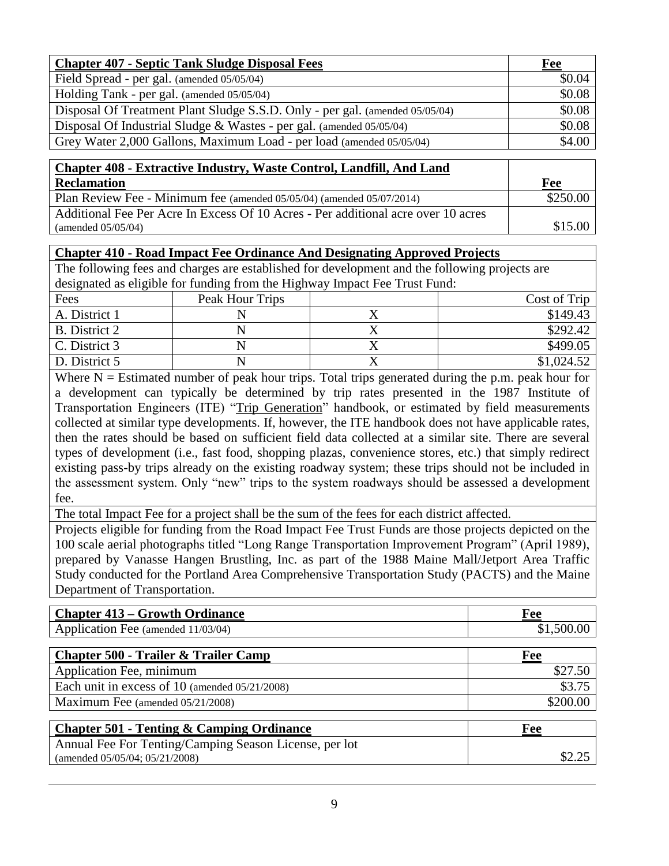| <b>Chapter 407 - Septic Tank Sludge Disposal Fees</b>                        | Fee    |
|------------------------------------------------------------------------------|--------|
| Field Spread - per gal. (amended 05/05/04)                                   | \$0.04 |
| Holding Tank - per gal. (amended 05/05/04)                                   | \$0.08 |
| Disposal Of Treatment Plant Sludge S.S.D. Only - per gal. (amended 05/05/04) | \$0.08 |
| Disposal Of Industrial Sludge & Wastes - per gal. (amended $05/05/04$ )      | \$0.08 |
| Grey Water 2,000 Gallons, Maximum Load - per load (amended 05/05/04)         | \$4.00 |

| <b>Chapter 408 - Extractive Industry, Waste Control, Landfill, And Land</b>       |          |
|-----------------------------------------------------------------------------------|----------|
| <b>Reclamation</b>                                                                | Fee      |
| Plan Review Fee - Minimum fee (amended 05/05/04) (amended 05/07/2014)             | \$250.00 |
| Additional Fee Per Acre In Excess Of 10 Acres - Per additional acre over 10 acres |          |
| (amended $05/05/04$ )                                                             | \$15.00  |

#### **Chapter 410 - Road Impact Fee Ordinance And Designating Approved Projects**

The following fees and charges are established for development and the following projects are designated as eligible for funding from the Highway Impact Fee Trust Fund:

| Fees          | Peak Hour Trips | Cost of Trip |
|---------------|-----------------|--------------|
| A. District 1 |                 | \$149.43     |
| B. District 2 |                 | \$292.42     |
| C. District 3 |                 | \$499.05     |
| D. District 5 |                 | \$1,024.52   |

Where  $N =$  Estimated number of peak hour trips. Total trips generated during the p.m. peak hour for a development can typically be determined by trip rates presented in the 1987 Institute of Transportation Engineers (ITE) "Trip Generation" handbook, or estimated by field measurements collected at similar type developments. If, however, the ITE handbook does not have applicable rates, then the rates should be based on sufficient field data collected at a similar site. There are several types of development (i.e., fast food, shopping plazas, convenience stores, etc.) that simply redirect existing pass-by trips already on the existing roadway system; these trips should not be included in the assessment system. Only "new" trips to the system roadways should be assessed a development fee.

The total Impact Fee for a project shall be the sum of the fees for each district affected.

Projects eligible for funding from the Road Impact Fee Trust Funds are those projects depicted on the 100 scale aerial photographs titled "Long Range Transportation Improvement Program" (April 1989), prepared by Vanasse Hangen Brustling, Inc. as part of the 1988 Maine Mall/Jetport Area Traffic Study conducted for the Portland Area Comprehensive Transportation Study (PACTS) and the Maine Department of Transportation.

| <b>Chapter 413 – Growth Ordinance</b> | ree |
|---------------------------------------|-----|
| Application Fee (amended 11/03/04)    |     |

| <b>Chapter 500 - Trailer &amp; Trailer Camp</b>   | Fee      |
|---------------------------------------------------|----------|
| Application Fee, minimum                          | \$27.50  |
| Each unit in excess of 10 (amended $05/21/2008$ ) | \$3.75   |
| Maximum Fee (amended 05/21/2008)                  | \$200.00 |

| <b>Chapter 501 - Tenting &amp; Camping Ordinance</b>   | Fee |
|--------------------------------------------------------|-----|
| Annual Fee For Tenting/Camping Season License, per lot |     |
| (amended $05/05/04$ ; $05/21/2008$ )                   |     |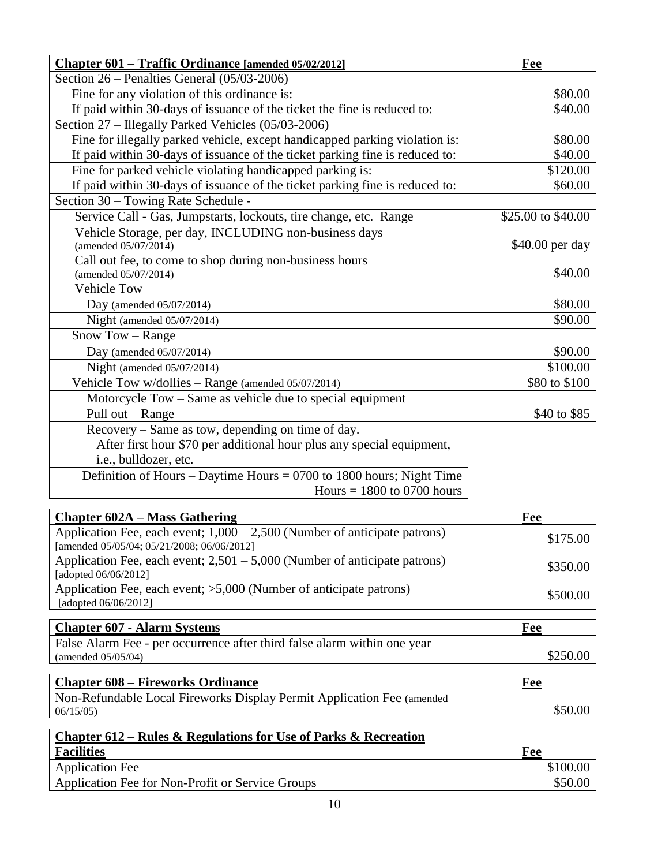| Chapter 601 – Traffic Ordinance [amended 05/02/2012]                         | Fee                |
|------------------------------------------------------------------------------|--------------------|
| Section $26$ – Penalties General $(05/03-2006)$                              |                    |
| Fine for any violation of this ordinance is:                                 | \$80.00            |
| If paid within 30-days of issuance of the ticket the fine is reduced to:     | \$40.00            |
| Section 27 – Illegally Parked Vehicles (05/03-2006)                          |                    |
| Fine for illegally parked vehicle, except handicapped parking violation is:  | \$80.00            |
| If paid within 30-days of issuance of the ticket parking fine is reduced to: | \$40.00            |
| Fine for parked vehicle violating handicapped parking is:                    | \$120.00           |
| If paid within 30-days of issuance of the ticket parking fine is reduced to: | \$60.00            |
| Section 30 – Towing Rate Schedule -                                          |                    |
| Service Call - Gas, Jumpstarts, lockouts, tire change, etc. Range            | \$25.00 to \$40.00 |
| Vehicle Storage, per day, INCLUDING non-business days                        |                    |
| (amended 05/07/2014)                                                         | \$40.00 per day    |
| Call out fee, to come to shop during non-business hours                      |                    |
| (amended 05/07/2014)                                                         | \$40.00            |
| <b>Vehicle Tow</b>                                                           |                    |
| Day (amended $05/07/2014$ )                                                  | \$80.00            |
| Night (amended 05/07/2014)                                                   | \$90.00            |
| Snow Tow - Range                                                             |                    |
| Day (amended 05/07/2014)                                                     | \$90.00            |
| Night (amended 05/07/2014)                                                   | \$100.00           |
| Vehicle Tow w/dollies $-$ Range (amended 05/07/2014)                         | \$80 to \$100      |
| Motorcycle Tow – Same as vehicle due to special equipment                    |                    |
| Pull out – Range                                                             | \$40 to \$85       |
| Recovery – Same as tow, depending on time of day.                            |                    |
| After first hour \$70 per additional hour plus any special equipment,        |                    |
| i.e., bulldozer, etc.                                                        |                    |
| Definition of Hours – Daytime Hours = $0700$ to 1800 hours; Night Time       |                    |
| Hours $= 1800$ to 0700 hours                                                 |                    |

| <b>Chapter 602A – Mass Gathering</b>                                                                                      | Fee      |
|---------------------------------------------------------------------------------------------------------------------------|----------|
| Application Fee, each event; $1,000 - 2,500$ (Number of anticipate patrons)<br>[amended 05/05/04; 05/21/2008; 06/06/2012] | \$175.00 |
| Application Fee, each event; $2,501 - 5,000$ (Number of anticipate patrons)<br>[adopted $06/06/2012$ ]                    | \$350.00 |
| Application Fee, each event; >5,000 (Number of anticipate patrons)<br>[adopted 06/06/2012]                                | \$500.00 |

| <b>Chapter 607 - Alarm Systems</b>                                       | Fee      |
|--------------------------------------------------------------------------|----------|
| False Alarm Fee - per occurrence after third false alarm within one year |          |
| (amended $05/05/04$ )                                                    | \$250.00 |

| <b>Chapter 608 – Fireworks Ordinance</b>                               | Fee     |
|------------------------------------------------------------------------|---------|
| Non-Refundable Local Fireworks Display Permit Application Fee (amended |         |
| 06/15/05                                                               | \$50.00 |

| Chapter $612$ – Rules & Regulations for Use of Parks & Recreation |          |
|-------------------------------------------------------------------|----------|
| <b>Facilities</b>                                                 | Fee      |
| <b>Application Fee</b>                                            | \$100.00 |
| Application Fee for Non-Profit or Service Groups                  | \$50.00  |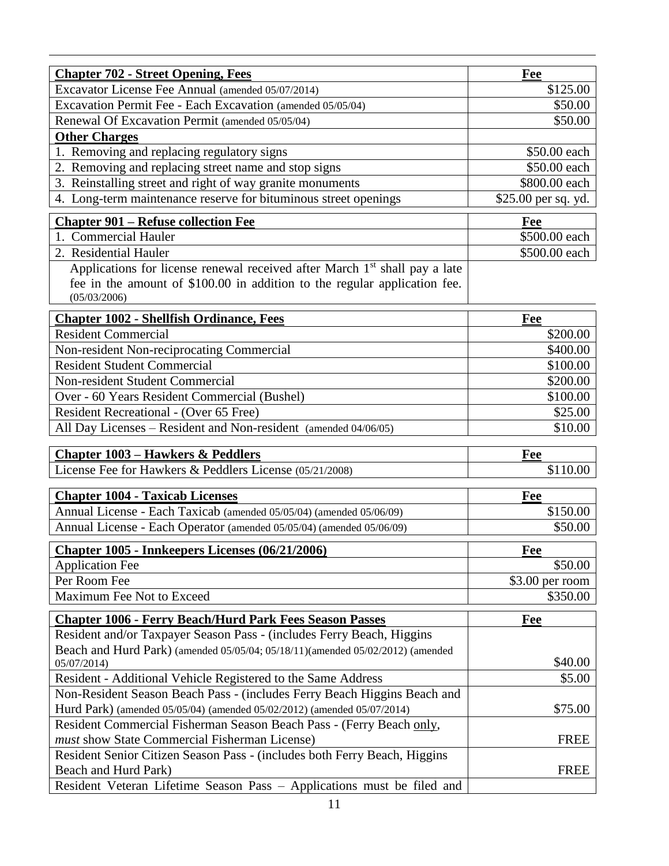| <b>Chapter 702 - Street Opening, Fees</b>                                                                                                                                           | Fee                 |
|-------------------------------------------------------------------------------------------------------------------------------------------------------------------------------------|---------------------|
| Excavator License Fee Annual (amended 05/07/2014)                                                                                                                                   | \$125.00            |
| Excavation Permit Fee - Each Excavation (amended 05/05/04)                                                                                                                          | \$50.00             |
| Renewal Of Excavation Permit (amended 05/05/04)                                                                                                                                     | \$50.00             |
| <b>Other Charges</b>                                                                                                                                                                |                     |
| 1. Removing and replacing regulatory signs                                                                                                                                          | \$50.00 each        |
| 2. Removing and replacing street name and stop signs                                                                                                                                | \$50.00 each        |
| 3. Reinstalling street and right of way granite monuments                                                                                                                           | \$800.00 each       |
| 4. Long-term maintenance reserve for bituminous street openings                                                                                                                     | \$25.00 per sq. yd. |
| <b>Chapter 901 – Refuse collection Fee</b>                                                                                                                                          | Fee                 |
| 1. Commercial Hauler                                                                                                                                                                | \$500.00 each       |
| 2. Residential Hauler                                                                                                                                                               | \$500.00 each       |
| Applications for license renewal received after March 1 <sup>st</sup> shall pay a late<br>fee in the amount of \$100.00 in addition to the regular application fee.<br>(05/03/2006) |                     |
| <b>Chapter 1002 - Shellfish Ordinance, Fees</b>                                                                                                                                     | Fee                 |
| <b>Resident Commercial</b>                                                                                                                                                          | \$200.00            |
| Non-resident Non-reciprocating Commercial                                                                                                                                           | \$400.00            |
| <b>Resident Student Commercial</b>                                                                                                                                                  | \$100.00            |
| Non-resident Student Commercial                                                                                                                                                     | \$200.00            |
| Over - 60 Years Resident Commercial (Bushel)                                                                                                                                        | \$100.00            |
| Resident Recreational - (Over 65 Free)                                                                                                                                              | \$25.00             |
| All Day Licenses - Resident and Non-resident (amended 04/06/05)                                                                                                                     | \$10.00             |
| <b>Chapter 1003 – Hawkers &amp; Peddlers</b>                                                                                                                                        | Fee                 |
| License Fee for Hawkers & Peddlers License (05/21/2008)                                                                                                                             | \$110.00            |
| <b>Chapter 1004 - Taxicab Licenses</b>                                                                                                                                              | Fee                 |
| Annual License - Each Taxicab (amended 05/05/04) (amended 05/06/09)                                                                                                                 | \$150.00            |
| Annual License - Each Operator (amended 05/05/04) (amended 05/06/09)                                                                                                                | \$50.00             |
| <b>Chapter 1005 - Innkeepers Licenses (06/21/2006)</b>                                                                                                                              |                     |
| <b>Application Fee</b>                                                                                                                                                              | Fee<br>\$50.00      |
| Per Room Fee                                                                                                                                                                        | \$3.00 per room     |
| Maximum Fee Not to Exceed                                                                                                                                                           | \$350.00            |
|                                                                                                                                                                                     |                     |
| <b>Chapter 1006 - Ferry Beach/Hurd Park Fees Season Passes</b>                                                                                                                      | Fee                 |
| Resident and/or Taxpayer Season Pass - (includes Ferry Beach, Higgins                                                                                                               |                     |
| Beach and Hurd Park) (amended 05/05/04; 05/18/11)(amended 05/02/2012) (amended<br>05/07/2014)                                                                                       | \$40.00             |
| Resident - Additional Vehicle Registered to the Same Address                                                                                                                        | \$5.00              |
| Non-Resident Season Beach Pass - (includes Ferry Beach Higgins Beach and                                                                                                            |                     |
| Hurd Park) (amended 05/05/04) (amended 05/02/2012) (amended 05/07/2014)                                                                                                             | \$75.00             |
| Resident Commercial Fisherman Season Beach Pass - (Ferry Beach only,                                                                                                                |                     |
| must show State Commercial Fisherman License)                                                                                                                                       | <b>FREE</b>         |
| Resident Senior Citizen Season Pass - (includes both Ferry Beach, Higgins                                                                                                           |                     |
| Beach and Hurd Park)                                                                                                                                                                | <b>FREE</b>         |
| Resident Veteran Lifetime Season Pass - Applications must be filed and                                                                                                              |                     |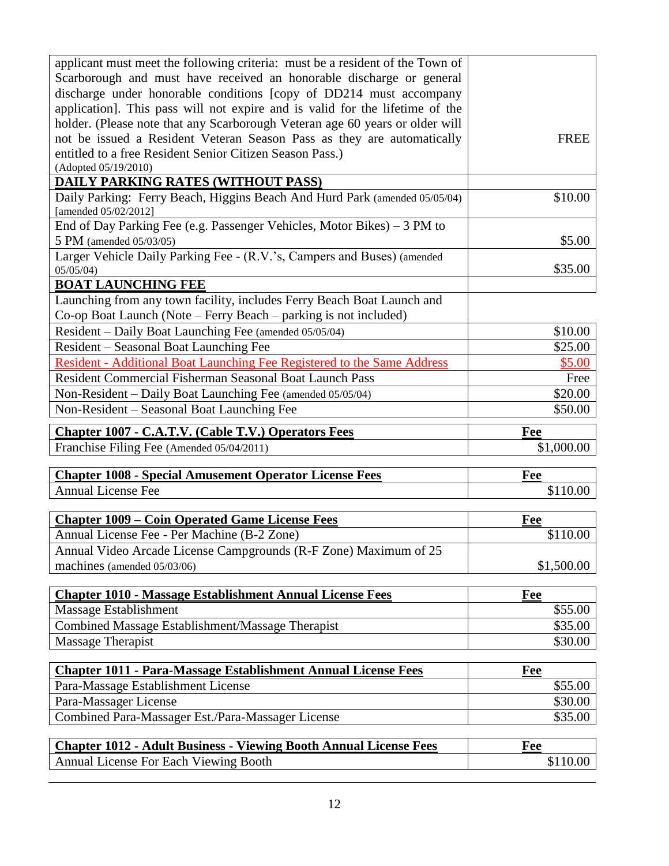| applicant must meet the following criteria: must be a resident of the Town of<br>Scarborough and must have received an honorable discharge or general |                 |
|-------------------------------------------------------------------------------------------------------------------------------------------------------|-----------------|
| discharge under honorable conditions [copy of DD214 must accompany                                                                                    |                 |
| application]. This pass will not expire and is valid for the lifetime of the                                                                          |                 |
| holder. (Please note that any Scarborough Veteran age 60 years or older will                                                                          |                 |
|                                                                                                                                                       |                 |
| not be issued a Resident Veteran Season Pass as they are automatically                                                                                | <b>FREE</b>     |
| entitled to a free Resident Senior Citizen Season Pass.)<br>(Adopted 05/19/2010)                                                                      |                 |
| <b>DAILY PARKING RATES (WITHOUT PASS)</b>                                                                                                             |                 |
| Daily Parking: Ferry Beach, Higgins Beach And Hurd Park (amended 05/05/04)                                                                            | \$10.00         |
| [amended 05/02/2012]                                                                                                                                  |                 |
| End of Day Parking Fee (e.g. Passenger Vehicles, Motor Bikes) – 3 PM to                                                                               |                 |
| 5 PM (amended 05/03/05)                                                                                                                               | \$5.00          |
| Larger Vehicle Daily Parking Fee - (R.V.'s, Campers and Buses) (amended                                                                               |                 |
| 05/05/04                                                                                                                                              | \$35.00         |
| <b>BOAT LAUNCHING FEE</b>                                                                                                                             |                 |
| Launching from any town facility, includes Ferry Beach Boat Launch and                                                                                |                 |
| Co-op Boat Launch (Note – Ferry Beach – parking is not included)                                                                                      |                 |
| Resident - Daily Boat Launching Fee (amended 05/05/04)                                                                                                | \$10.00         |
| Resident – Seasonal Boat Launching Fee                                                                                                                | \$25.00         |
| Resident - Additional Boat Launching Fee Registered to the Same Address                                                                               | \$5.00          |
| Resident Commercial Fisherman Seasonal Boat Launch Pass                                                                                               | Free            |
| Non-Resident – Daily Boat Launching Fee (amended 05/05/04)                                                                                            | \$20.00         |
| Non-Resident – Seasonal Boat Launching Fee                                                                                                            | \$50.00         |
|                                                                                                                                                       |                 |
|                                                                                                                                                       |                 |
| <b>Chapter 1007 - C.A.T.V. (Cable T.V.) Operators Fees</b>                                                                                            | Fee             |
| Franchise Filing Fee (Amended 05/04/2011)                                                                                                             | \$1,000.00      |
|                                                                                                                                                       |                 |
| <b>Chapter 1008 - Special Amusement Operator License Fees</b>                                                                                         | Fee             |
| <b>Annual License Fee</b>                                                                                                                             | \$110.00        |
|                                                                                                                                                       |                 |
| <b>Chapter 1009 – Coin Operated Game License Fees</b>                                                                                                 | Fee             |
| Annual License Fee - Per Machine (B-2 Zone)                                                                                                           | \$110.00        |
| Annual Video Arcade License Campgrounds (R-F Zone) Maximum of 25                                                                                      |                 |
| machines (amended 05/03/06)                                                                                                                           | \$1,500.00      |
|                                                                                                                                                       |                 |
| <b>Chapter 1010 - Massage Establishment Annual License Fees</b>                                                                                       | <b>Fee</b>      |
| Massage Establishment                                                                                                                                 | \$55.00         |
| Combined Massage Establishment/Massage Therapist                                                                                                      | \$35.00         |
| Massage Therapist                                                                                                                                     | \$30.00         |
|                                                                                                                                                       |                 |
| <b>Chapter 1011 - Para-Massage Establishment Annual License Fees</b>                                                                                  | Fee             |
| Para-Massage Establishment License                                                                                                                    | \$55.00         |
| Para-Massager License                                                                                                                                 | \$30.00         |
| Combined Para-Massager Est./Para-Massager License                                                                                                     | \$35.00         |
|                                                                                                                                                       |                 |
| <b>Chapter 1012 - Adult Business - Viewing Booth Annual License Fees</b><br><b>Annual License For Each Viewing Booth</b>                              | Fee<br>\$110.00 |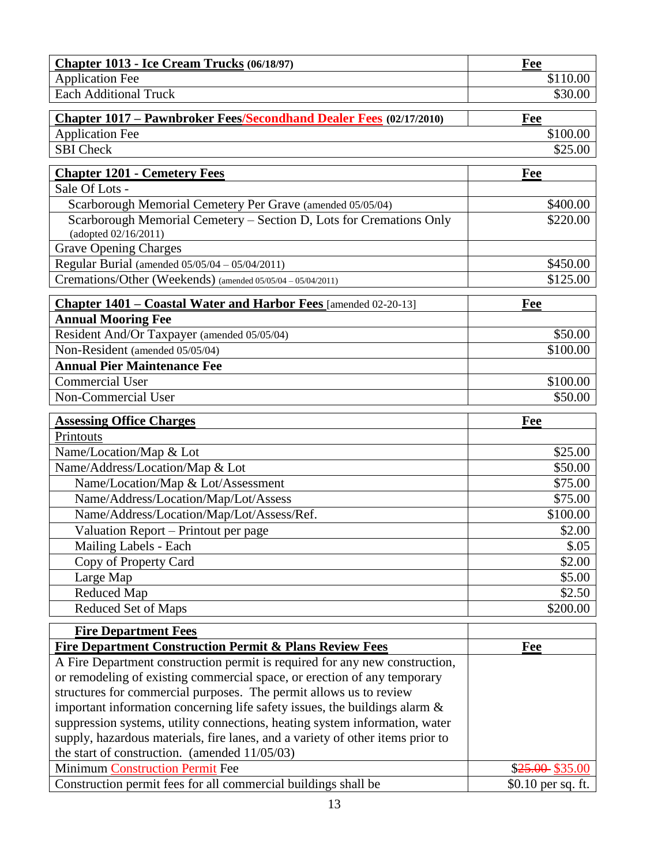| Chapter 1013 - Ice Cream Trucks (06/18/97)                                                  | Fee                |
|---------------------------------------------------------------------------------------------|--------------------|
| <b>Application Fee</b>                                                                      | \$110.00           |
| <b>Each Additional Truck</b>                                                                | \$30.00            |
|                                                                                             |                    |
| <b>Chapter 1017 – Pawnbroker Fees/Secondhand Dealer Fees (02/17/2010)</b>                   | Fee<br>\$100.00    |
| <b>Application Fee</b><br><b>SBI</b> Check                                                  | \$25.00            |
|                                                                                             |                    |
| <b>Chapter 1201 - Cemetery Fees</b>                                                         | <b>Fee</b>         |
| Sale Of Lots -                                                                              |                    |
| Scarborough Memorial Cemetery Per Grave (amended 05/05/04)                                  | \$400.00           |
| Scarborough Memorial Cemetery - Section D, Lots for Cremations Only<br>(adopted 02/16/2011) | \$220.00           |
| <b>Grave Opening Charges</b>                                                                |                    |
| Regular Burial (amended 05/05/04 - 05/04/2011)                                              | \$450.00           |
| Cremations/Other (Weekends) (amended 05/05/04 - 05/04/2011)                                 | \$125.00           |
| Chapter 1401 – Coastal Water and Harbor Fees [amended 02-20-13]                             | Fee                |
| <b>Annual Mooring Fee</b>                                                                   |                    |
| Resident And/Or Taxpayer (amended 05/05/04)                                                 | \$50.00            |
| Non-Resident (amended 05/05/04)                                                             | \$100.00           |
| <b>Annual Pier Maintenance Fee</b>                                                          |                    |
| <b>Commercial User</b>                                                                      | \$100.00           |
| Non-Commercial User                                                                         | \$50.00            |
|                                                                                             |                    |
| <b>Assessing Office Charges</b>                                                             | Fee                |
| Printouts                                                                                   |                    |
| Name/Location/Map & Lot                                                                     | \$25.00            |
| Name/Address/Location/Map & Lot                                                             | \$50.00            |
| Name/Location/Map & Lot/Assessment                                                          | \$75.00            |
| Name/Address/Location/Map/Lot/Assess                                                        | \$75.00            |
| Name/Address/Location/Map/Lot/Assess/Ref.                                                   | \$100.00           |
| Valuation Report – Printout per page                                                        | \$2.00             |
| Mailing Labels - Each                                                                       | \$.05              |
| Copy of Property Card                                                                       | \$2.00             |
| Large Map                                                                                   | \$5.00             |
| Reduced Map                                                                                 | \$2.50             |
| Reduced Set of Maps                                                                         | \$200.00           |
| <b>Fire Department Fees</b>                                                                 |                    |
| <b>Fire Department Construction Permit &amp; Plans Review Fees</b>                          | Fee                |
| A Fire Department construction permit is required for any new construction,                 |                    |
| or remodeling of existing commercial space, or erection of any temporary                    |                    |
| structures for commercial purposes. The permit allows us to review                          |                    |
| important information concerning life safety issues, the buildings alarm $\&$               |                    |
| suppression systems, utility connections, heating system information, water                 |                    |
| supply, hazardous materials, fire lanes, and a variety of other items prior to              |                    |
| the start of construction. (amended $11/05/03$ )                                            |                    |
| <b>Minimum Construction Permit Fee</b>                                                      | $$25.00$ \$35.00   |
| Construction permit fees for all commercial buildings shall be                              | \$0.10 per sq. ft. |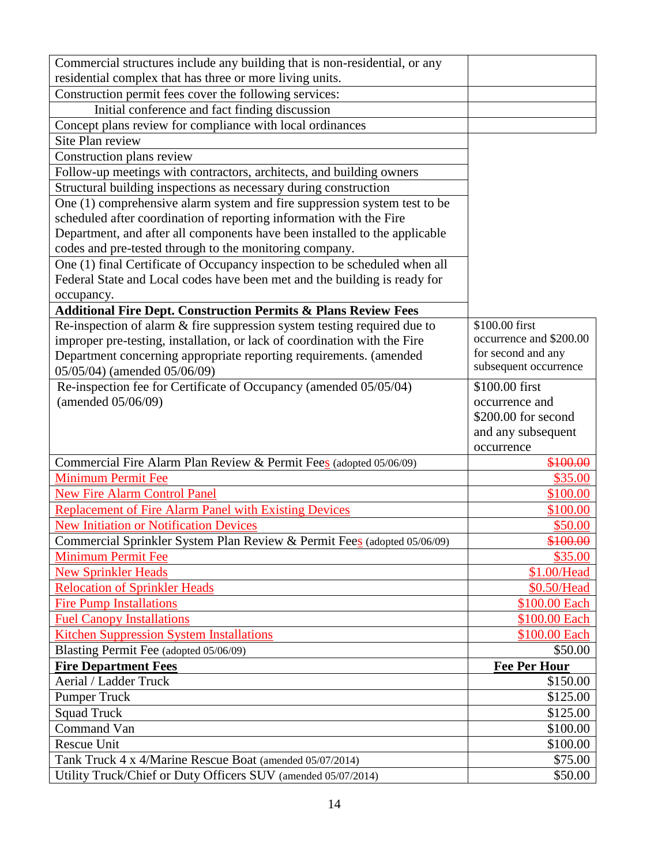| Commercial structures include any building that is non-residential, or any |                         |
|----------------------------------------------------------------------------|-------------------------|
| residential complex that has three or more living units.                   |                         |
| Construction permit fees cover the following services:                     |                         |
| Initial conference and fact finding discussion                             |                         |
| Concept plans review for compliance with local ordinances                  |                         |
| Site Plan review                                                           |                         |
| Construction plans review                                                  |                         |
| Follow-up meetings with contractors, architects, and building owners       |                         |
| Structural building inspections as necessary during construction           |                         |
| One (1) comprehensive alarm system and fire suppression system test to be  |                         |
| scheduled after coordination of reporting information with the Fire        |                         |
| Department, and after all components have been installed to the applicable |                         |
| codes and pre-tested through to the monitoring company.                    |                         |
| One (1) final Certificate of Occupancy inspection to be scheduled when all |                         |
| Federal State and Local codes have been met and the building is ready for  |                         |
| occupancy.                                                                 |                         |
| <b>Additional Fire Dept. Construction Permits &amp; Plans Review Fees</b>  |                         |
| Re-inspection of alarm $&$ fire suppression system testing required due to | \$100.00 first          |
| improper pre-testing, installation, or lack of coordination with the Fire  | occurrence and \$200.00 |
| Department concerning appropriate reporting requirements. (amended         | for second and any      |
| 05/05/04) (amended 05/06/09)                                               | subsequent occurrence   |
| Re-inspection fee for Certificate of Occupancy (amended 05/05/04)          | \$100.00 first          |
| (amended 05/06/09)                                                         | occurrence and          |
|                                                                            | \$200.00 for second     |
|                                                                            | and any subsequent      |
|                                                                            | occurrence              |
| Commercial Fire Alarm Plan Review & Permit Fees (adopted 05/06/09)         | \$100.00                |
| <b>Minimum Permit Fee</b>                                                  | \$35.00                 |
| <b>New Fire Alarm Control Panel</b>                                        | \$100.00                |
| <b>Replacement of Fire Alarm Panel with Existing Devices</b>               | \$100.00                |
| <b>New Initiation or Notification Devices</b>                              | \$50.00                 |
| Commercial Sprinkler System Plan Review & Permit Fees (adopted 05/06/09)   | \$100.00                |
| <b>Minimum Permit Fee</b>                                                  | \$35.00                 |
| <b>New Sprinkler Heads</b>                                                 | \$1.00/Head             |
| <b>Relocation of Sprinkler Heads</b>                                       | \$0.50/Head             |
| <b>Fire Pump Installations</b>                                             | \$100.00 Each           |
| <b>Fuel Canopy Installations</b>                                           | \$100.00 Each           |
| <b>Kitchen Suppression System Installations</b>                            | \$100.00 Each           |
| Blasting Permit Fee (adopted 05/06/09)                                     | \$50.00                 |
| <b>Fire Department Fees</b>                                                | <b>Fee Per Hour</b>     |
| Aerial / Ladder Truck                                                      | \$150.00                |
| <b>Pumper Truck</b>                                                        | \$125.00                |
| <b>Squad Truck</b>                                                         | \$125.00                |
| Command Van                                                                | \$100.00                |
| <b>Rescue Unit</b>                                                         | \$100.00                |
| Tank Truck 4 x 4/Marine Rescue Boat (amended 05/07/2014)                   | \$75.00                 |
| Utility Truck/Chief or Duty Officers SUV (amended 05/07/2014)              | \$50.00                 |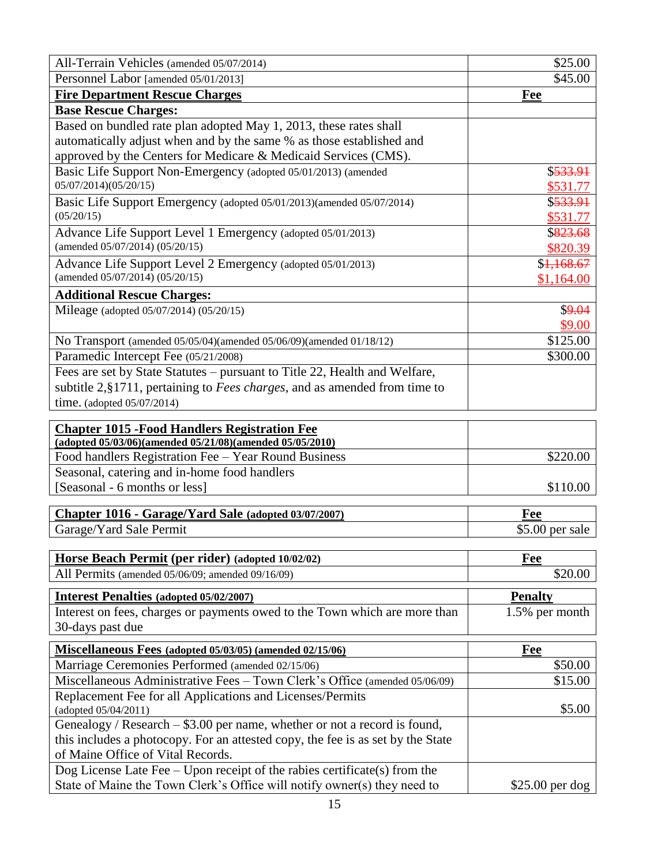| All-Terrain Vehicles (amended 05/07/2014)                                         | \$25.00          |
|-----------------------------------------------------------------------------------|------------------|
| Personnel Labor [amended 05/01/2013]                                              | \$45.00          |
| <b>Fire Department Rescue Charges</b>                                             | <b>Fee</b>       |
| <b>Base Rescue Charges:</b>                                                       |                  |
| Based on bundled rate plan adopted May 1, 2013, these rates shall                 |                  |
| automatically adjust when and by the same % as those established and              |                  |
| approved by the Centers for Medicare & Medicaid Services (CMS).                   |                  |
| Basic Life Support Non-Emergency (adopted 05/01/2013) (amended                    | \$533.91         |
| 05/07/2014)(05/20/15)                                                             | \$531.77         |
| Basic Life Support Emergency (adopted 05/01/2013)(amended 05/07/2014)             | \$533.91         |
| (05/20/15)                                                                        | \$531.77         |
| Advance Life Support Level 1 Emergency (adopted 05/01/2013)                       | \$823.68         |
| (amended 05/07/2014) (05/20/15)                                                   | \$820.39         |
| Advance Life Support Level 2 Emergency (adopted 05/01/2013)                       | \$1,168.67       |
| (amended 05/07/2014) (05/20/15)                                                   | \$1,164.00       |
| <b>Additional Rescue Charges:</b>                                                 |                  |
| Mileage (adopted 05/07/2014) (05/20/15)                                           | \$9.04           |
|                                                                                   | \$9.00           |
| No Transport (amended 05/05/04)(amended 05/06/09)(amended 01/18/12)               | \$125.00         |
| Paramedic Intercept Fee (05/21/2008)                                              | \$300.00         |
| Fees are set by State Statutes – pursuant to Title 22, Health and Welfare,        |                  |
| subtitle 2, §1711, pertaining to Fees charges, and as amended from time to        |                  |
| time. (adopted $05/07/2014$ )                                                     |                  |
|                                                                                   |                  |
| <b>Chapter 1015 - Food Handlers Registration Fee</b>                              |                  |
| (adopted 05/03/06)(amended 05/21/08)(amended 05/05/2010)                          |                  |
| Food handlers Registration Fee - Year Round Business                              | \$220.00         |
| Seasonal, catering and in-home food handlers                                      |                  |
| [Seasonal - 6 months or less]                                                     | \$110.00         |
| Chapter 1016 - Garage/Yard Sale (adopted 03/07/2007)                              | Fee              |
| Garage/Yard Sale Permit                                                           | $$5.00$ per sale |
|                                                                                   |                  |
| Horse Beach Permit (per rider) (adopted 10/02/02)                                 | Fee              |
| All Permits (amended 05/06/09; amended 09/16/09)                                  | \$20.00          |
| <b>Interest Penalties (adopted 05/02/2007)</b>                                    | <b>Penalty</b>   |
| Interest on fees, charges or payments owed to the Town which are more than        | 1.5% per month   |
| 30-days past due                                                                  |                  |
|                                                                                   |                  |
| Miscellaneous Fees (adopted 05/03/05) (amended 02/15/06)                          | <b>Fee</b>       |
| Marriage Ceremonies Performed (amended 02/15/06)                                  | \$50.00          |
| Miscellaneous Administrative Fees - Town Clerk's Office (amended 05/06/09)        | \$15.00          |
| Replacement Fee for all Applications and Licenses/Permits<br>(adopted 05/04/2011) | \$5.00           |
| Genealogy / Research $-$ \$3.00 per name, whether or not a record is found,       |                  |
| this includes a photocopy. For an attested copy, the fee is as set by the State   |                  |
| of Maine Office of Vital Records.                                                 |                  |
| Dog License Late Fee $-$ Upon receipt of the rabies certificate(s) from the       |                  |
| State of Maine the Town Clerk's Office will notify owner(s) they need to          | $$25.00$ per dog |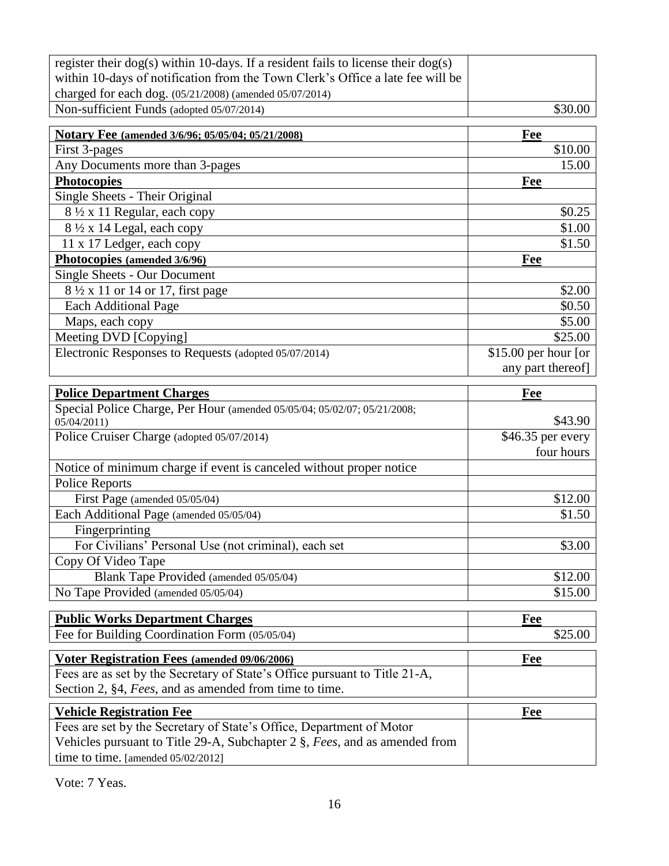| register their $\log(s)$ within 10-days. If a resident fails to license their $\log(s)$ |                      |
|-----------------------------------------------------------------------------------------|----------------------|
| within 10-days of notification from the Town Clerk's Office a late fee will be          |                      |
| charged for each dog. (05/21/2008) (amended 05/07/2014)                                 |                      |
| Non-sufficient Funds (adopted 05/07/2014)                                               | \$30.00              |
| Notary Fee (amended 3/6/96; 05/05/04; 05/21/2008)                                       | Fee                  |
| First 3-pages                                                                           | \$10.00              |
| Any Documents more than 3-pages                                                         | 15.00                |
| <b>Photocopies</b>                                                                      | Fee                  |
| Single Sheets - Their Original                                                          |                      |
| 8 1/2 x 11 Regular, each copy                                                           | \$0.25               |
| $8\frac{1}{2}$ x 14 Legal, each copy                                                    | \$1.00               |
| 11 x 17 Ledger, each copy                                                               | \$1.50               |
| Photocopies (amended 3/6/96)                                                            | Fee                  |
| Single Sheets - Our Document                                                            |                      |
| 8 1/2 x 11 or 14 or 17, first page                                                      | \$2.00               |
| <b>Each Additional Page</b>                                                             | \$0.50               |
| Maps, each copy                                                                         | \$5.00               |
| Meeting DVD [Copying]                                                                   | \$25.00              |
| Electronic Responses to Requests (adopted 05/07/2014)                                   | \$15.00 per hour [or |
|                                                                                         | any part thereof]    |
| <b>Police Department Charges</b>                                                        | Fee                  |
| Special Police Charge, Per Hour (amended 05/05/04; 05/02/07; 05/21/2008;                |                      |
| 05/04/2011                                                                              | \$43.90              |
| Police Cruiser Charge (adopted 05/07/2014)                                              | \$46.35 per every    |
|                                                                                         | four hours           |
| Notice of minimum charge if event is canceled without proper notice                     |                      |
| <b>Police Reports</b>                                                                   |                      |
| First Page (amended 05/05/04)                                                           | \$12.00              |
| Each Additional Page (amended 05/05/04)                                                 | \$1.50               |
| Fingerprinting                                                                          |                      |
| For Civilians' Personal Use (not criminal), each set                                    | \$3.00               |
| Copy Of Video Tape                                                                      |                      |
| Blank Tape Provided (amended 05/05/04)                                                  | \$12.00              |
| No Tape Provided (amended 05/05/04)                                                     | \$15.00              |
| <b>Public Works Department Charges</b>                                                  | <b>Fee</b>           |
| Fee for Building Coordination Form (05/05/04)                                           | \$25.00              |
| Voter Registration Fees (amended 09/06/2006)                                            | <b>Fee</b>           |
| Fees are as set by the Secretary of State's Office pursuant to Title 21-A,              |                      |
| Section 2, §4, Fees, and as amended from time to time.                                  |                      |
| <b>Vehicle Registration Fee</b>                                                         | Fee                  |
| Fees are set by the Secretary of State's Office, Department of Motor                    |                      |
| Vehicles pursuant to Title 29-A, Subchapter 2 §, Fees, and as amended from              |                      |
| time to time. [amended 05/02/2012]                                                      |                      |

Vote: 7 Yeas.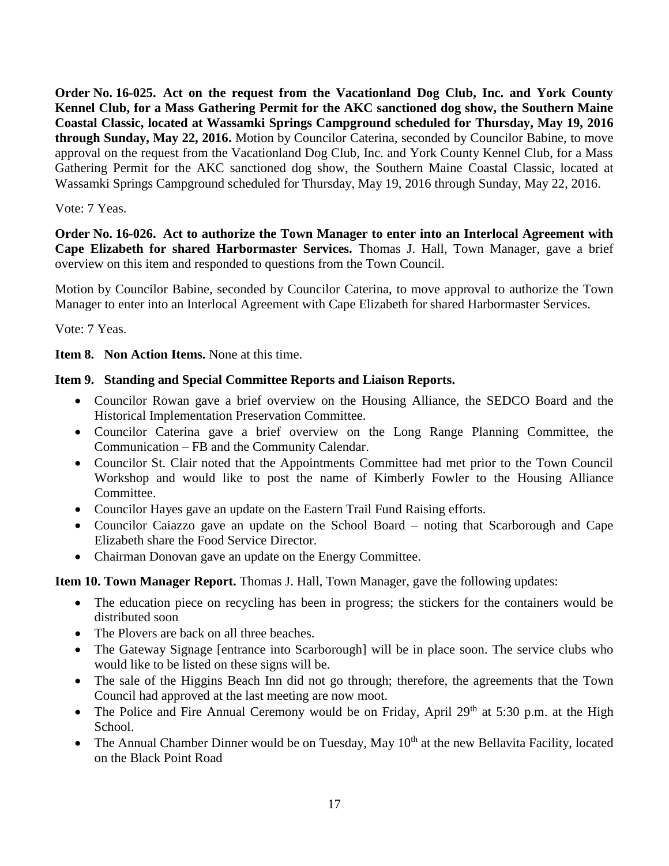**Order No. 16-025. Act on the request from the Vacationland Dog Club, Inc. and York County Kennel Club, for a Mass Gathering Permit for the AKC sanctioned dog show, the Southern Maine Coastal Classic, located at Wassamki Springs Campground scheduled for Thursday, May 19, 2016 through Sunday, May 22, 2016.** Motion by Councilor Caterina, seconded by Councilor Babine, to move approval on the request from the Vacationland Dog Club, Inc. and York County Kennel Club, for a Mass Gathering Permit for the AKC sanctioned dog show, the Southern Maine Coastal Classic, located at Wassamki Springs Campground scheduled for Thursday, May 19, 2016 through Sunday, May 22, 2016.

#### Vote: 7 Yeas.

**Order No. 16-026. Act to authorize the Town Manager to enter into an Interlocal Agreement with Cape Elizabeth for shared Harbormaster Services.** Thomas J. Hall, Town Manager, gave a brief overview on this item and responded to questions from the Town Council.

Motion by Councilor Babine, seconded by Councilor Caterina, to move approval to authorize the Town Manager to enter into an Interlocal Agreement with Cape Elizabeth for shared Harbormaster Services.

Vote: 7 Yeas.

**Item 8. Non Action Items.** None at this time.

#### **Item 9. Standing and Special Committee Reports and Liaison Reports.**

- Councilor Rowan gave a brief overview on the Housing Alliance, the SEDCO Board and the Historical Implementation Preservation Committee.
- Councilor Caterina gave a brief overview on the Long Range Planning Committee, the Communication – FB and the Community Calendar.
- Councilor St. Clair noted that the Appointments Committee had met prior to the Town Council Workshop and would like to post the name of Kimberly Fowler to the Housing Alliance Committee.
- Councilor Hayes gave an update on the Eastern Trail Fund Raising efforts.
- Councilor Caiazzo gave an update on the School Board noting that Scarborough and Cape Elizabeth share the Food Service Director.
- Chairman Donovan gave an update on the Energy Committee.

**Item 10. Town Manager Report.** Thomas J. Hall, Town Manager, gave the following updates:

- The education piece on recycling has been in progress; the stickers for the containers would be distributed soon
- The Plovers are back on all three beaches.
- The Gateway Signage [entrance into Scarborough] will be in place soon. The service clubs who would like to be listed on these signs will be.
- The sale of the Higgins Beach Inn did not go through; therefore, the agreements that the Town Council had approved at the last meeting are now moot.
- The Police and Fire Annual Ceremony would be on Friday, April 29<sup>th</sup> at 5:30 p.m. at the High School.
- The Annual Chamber Dinner would be on Tuesday, May 10<sup>th</sup> at the new Bellavita Facility, located on the Black Point Road